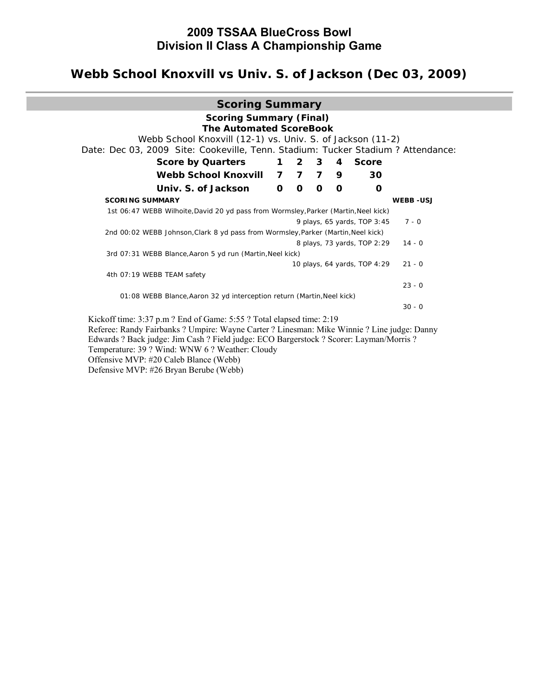# **2009 TSSAA BlueCross Bowl Division II Class A Championship Game**

# **Webb School Knoxvill vs Univ. S. of Jackson (Dec 03, 2009)**

| <b>Scoring Summary</b>                                                                                                                         |              |              |              |                |                              |                 |
|------------------------------------------------------------------------------------------------------------------------------------------------|--------------|--------------|--------------|----------------|------------------------------|-----------------|
| <b>Scoring Summary (Final)</b><br><b>The Automated ScoreBook</b>                                                                               |              |              |              |                |                              |                 |
| Webb School Knoxvill (12-1) vs. Univ. S. of Jackson (11-2)<br>Date: Dec 03, 2009 Site: Cookeville, Tenn. Stadium: Tucker Stadium ? Attendance: |              |              |              |                |                              |                 |
| <b>Score by Quarters</b>                                                                                                                       | $\mathbf 1$  |              | $2 \quad 3$  | $\overline{4}$ | <b>Score</b>                 |                 |
| Webb School Knoxvill                                                                                                                           |              |              | 777          | 9              | 30                           |                 |
| Univ. S. of Jackson                                                                                                                            | $\mathbf{O}$ | $\mathbf{o}$ | $\mathbf{o}$ | $\mathbf{o}$   | $\mathbf 0$                  |                 |
| <b>SCORING SUMMARY</b>                                                                                                                         |              |              |              |                |                              | <b>WEBB-USJ</b> |
| 1st 06:47 WEBB Wilhoite, David 20 yd pass from Wormsley, Parker (Martin, Neel kick)                                                            |              |              |              |                |                              |                 |
|                                                                                                                                                |              |              |              |                | 9 plays, 65 yards, TOP 3:45  | $7 - 0$         |
| 2nd 00:02 WEBB Johnson, Clark 8 yd pass from Wormsley, Parker (Martin, Neel kick)                                                              |              |              |              |                |                              |                 |
|                                                                                                                                                |              |              |              |                | 8 plays, 73 yards, TOP 2:29  | $14 - 0$        |
| 3rd 07:31 WEBB Blance, Aaron 5 yd run (Martin, Neel kick)                                                                                      |              |              |              |                |                              |                 |
|                                                                                                                                                |              |              |              |                | 10 plays, 64 yards, TOP 4:29 | $21 - 0$        |
| 4th 07:19 WEBB TEAM safety                                                                                                                     |              |              |              |                |                              |                 |
|                                                                                                                                                |              |              |              |                |                              | $23 - 0$        |
| 01:08 WEBB Blance, Aaron 32 yd interception return (Martin, Neel kick)                                                                         |              |              |              |                |                              |                 |
|                                                                                                                                                |              |              |              |                |                              | $30 - 0$        |
| Kickoff time: 3:37 p.m ? End of Game: 5:55 ? Total elapsed time: 2:19                                                                          |              |              |              |                |                              |                 |
| Referee: Randy Fairbanks ? Umpire: Wayne Carter ? Linesman: Mike Winnie ? Line judge: Danny                                                    |              |              |              |                |                              |                 |
| Edwards ? Back judge: Jim Cash ? Field judge: ECO Bargerstock ? Scorer: Layman/Morris ?                                                        |              |              |              |                |                              |                 |
| Temperature: 39 ? Wind: WNW 6 ? Weather: Cloudy                                                                                                |              |              |              |                |                              |                 |
| Offensive MVP: #20 Caleb Blance (Webb)                                                                                                         |              |              |              |                |                              |                 |

Defensive MVP: #26 Bryan Berube (Webb)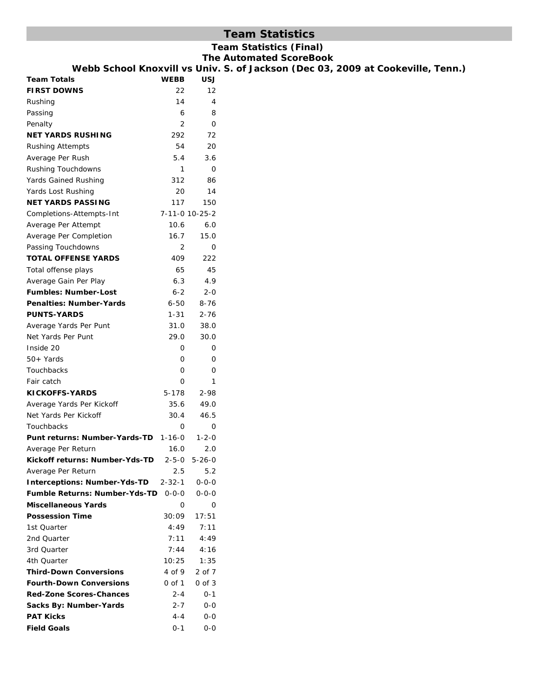## **Team Statistics**

## **Team Statistics (Final)**

**The Automated ScoreBook Son (Dec 03, 2009 at Cookeville, Tenn.)** 

| Webb School Knoxvill vs Univ. S. of Jacks |             |                |  |  |
|-------------------------------------------|-------------|----------------|--|--|
| <b>Team Totals</b>                        | <b>WEBB</b> | <b>USJ</b>     |  |  |
| <b>FIRST DOWNS</b>                        | 22          | 12             |  |  |
| Rushing                                   | 14          | 4              |  |  |
| Passing                                   | 6           | 8              |  |  |
| Penalty                                   | 2           | 0              |  |  |
| <b>NET YARDS RUSHING</b>                  | 292         | 72             |  |  |
| <b>Rushing Attempts</b>                   | 54          | 20             |  |  |
| Average Per Rush                          | 5.4         | 3.6            |  |  |
| Rushing Touchdowns                        | 1           | 0              |  |  |
| Yards Gained Rushing                      | 312         | 86             |  |  |
| Yards Lost Rushing                        | 20          | 14             |  |  |
| <b>NET YARDS PASSING</b>                  | 117         | 150            |  |  |
| Completions-Attempts-Int                  |             | 7-11-0 10-25-2 |  |  |
| Average Per Attempt                       | 10.6        | 6.0            |  |  |
| Average Per Completion                    | 16.7        | 15.0           |  |  |
| Passing Touchdowns                        | 2           | 0              |  |  |
| <b>TOTAL OFFENSE YARDS</b>                | 409         | 222            |  |  |
| Total offense plays                       | 65          | 45             |  |  |
| Average Gain Per Play                     | 6.3         | 4.9            |  |  |
| <b>Fumbles: Number-Lost</b>               | $6 - 2$     | $2 - 0$        |  |  |
| <b>Penalties: Number-Yards</b>            | 6-50        | $8 - 76$       |  |  |
| <b>PUNTS-YARDS</b>                        | 1-31        | $2 - 76$       |  |  |
| Average Yards Per Punt                    | 31.0        | 38.0           |  |  |
| Net Yards Per Punt                        | 29.0        | 30.0           |  |  |
| Inside 20                                 | 0           | 0              |  |  |
| $50+Yards$                                | 0           | 0              |  |  |
| Touchbacks                                | $\Omega$    | 0              |  |  |
| Fair catch                                | 0           | 1              |  |  |
| <b>KICKOFFS-YARDS</b>                     | $5-178$     | 2-98           |  |  |
| Average Yards Per Kickoff                 | 35.6        | 49.0           |  |  |
| Net Yards Per Kickoff                     | 30.4        | 46.5           |  |  |
| Touchbacks                                | 0           | O              |  |  |
| Punt returns: Number-Yards-TD 1-16-0      |             | $1 - 2 - 0$    |  |  |
| Average Per Return                        | 16.0        | 2.0            |  |  |
| Kickoff returns: Number-Yds-TD            | $2 - 5 - 0$ | $5 - 26 - 0$   |  |  |
| Average Per Return                        | 2.5         | 5.2            |  |  |
| <b>Interceptions: Number-Yds-TD</b>       | 2-32-1      | $0 - 0 - 0$    |  |  |
| <b>Fumble Returns: Number-Yds-TD</b>      | $0 - 0 - 0$ | $0 - 0 - 0$    |  |  |
| <b>Miscellaneous Yards</b>                | 0           | 0              |  |  |
| <b>Possession Time</b>                    | 30:09       | 17:51          |  |  |
| 1st Quarter                               | 4:49        | 7:11           |  |  |
| 2nd Quarter                               | 7:11        | 4:49           |  |  |
| 3rd Quarter                               | 7:44        | 4:16           |  |  |
| 4th Quarter                               | 10:25       | 1:35           |  |  |
| <b>Third-Down Conversions</b>             | 4 of 9      | 2 of 7         |  |  |
| <b>Fourth-Down Conversions</b>            | 0 of 1      | 0 of 3         |  |  |
| <b>Red-Zone Scores-Chances</b>            | $2 - 4$     | $0 - 1$        |  |  |
| Sacks By: Number-Yards                    | $2 - 7$     | 0-0            |  |  |
| <b>PAT Kicks</b>                          | 4-4         | 0-0            |  |  |
| <b>Field Goals</b>                        | $0 - 1$     | 0-0            |  |  |
|                                           |             |                |  |  |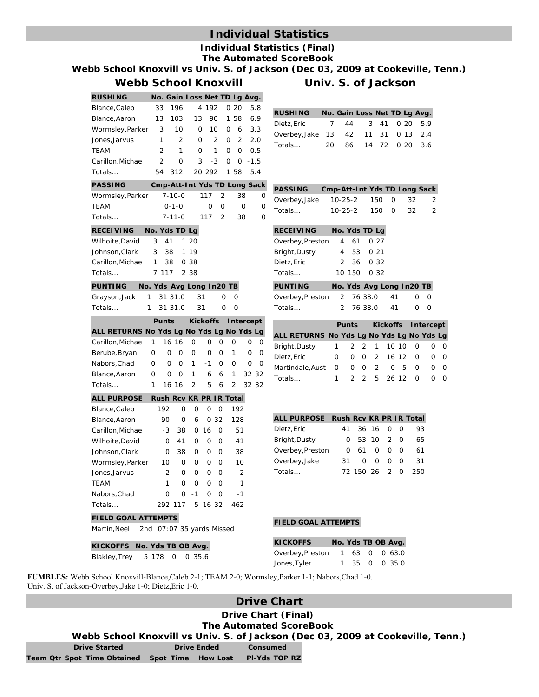## **Individual Statistics**

#### **Individual Statistics (Final) The Automated ScoreBook**

**Webb School Knoxvill vs Univ. S. of Jackson (Dec 03, 2009 at Cookeville, Tenn.)**

#### **Webb School Knoxvill Univ. S. of Jackson**

## **RUSHING No. Gain Loss Net TD Lg Avg.** Blance,Caleb 33 196 4 192 0 20 5.8 Blance,Aaron 13 103 13 90 1 58 6.9 Wormsley,Parker 3 10 0 10 0 6 3.3 Jones,Jarvus 1 2 0 2 0 2 2.0 TEAM 2 1 0 1 0 0 0.5 Carillon,Michae 2 0 3 -3 0 0 -1.5 Totals... 54 312 20 292 1 58 5.4 **PASSING Cmp-Att-Int Yds TD Long Sack** Wormsley,Parker 7-10-0 117 2 38 0 TEAM 0-1-0 0 0 0 0 Totals...  $RECEIVI$ Wilhoite, Johnson, Carillon, N Totals... **PUNTIN** Grayson, Totals... **Punts Kickoffs Intercept**  $ALL$  **RET** Carillon, N Berube, B Nabors, C Blance, Aa Totals... **ALL PURPOSE Rush Rcv KR PR IR Total** Blance, Ca Blance, Aa Carillon, N Wilhoite, Johnson, Wormsley Jones, Jar **TEAM** Nabors, C Totals... **FIELD GOAL ATTEMPTS** Martin,Neel 2nd 07:07 35 yards Missed

|                                    |   |                | $7 - 11 - 0$             |             | 117             | 2            |     | 38             | 0            |                |
|------------------------------------|---|----------------|--------------------------|-------------|-----------------|--------------|-----|----------------|--------------|----------------|
| NG                                 |   |                | No. Yds TD Lg            |             |                 |              |     |                |              | R              |
| David                              | 3 | 41             | 1                        | 20          |                 |              |     |                |              | C              |
| Clark                              | 3 | 38             | 1                        | 19          |                 |              |     |                |              | B              |
| <b>Aichae</b>                      | 1 | 38             |                          | 0 38        |                 |              |     |                |              | D              |
|                                    |   | 7 117          |                          | 2 3 8       |                 |              |     |                |              | T              |
| G                                  |   |                | No. Yds Avg Long In20 TB |             |                 |              |     |                |              | P              |
| Jack                               | 1 |                | 31 31.0                  |             | 31              | 0            | 0   |                |              | C              |
|                                    | 1 |                | 31 31.0                  |             | 31              | O            | 0   |                |              | T              |
|                                    |   | <b>Punts</b>   |                          |             | <b>Kickoffs</b> |              |     | Intercept      |              |                |
| URNS No Yds Lg No Yds Lg No Yds Lg |   |                |                          |             |                 |              |     |                |              | A              |
| <b>Aichae</b>                      | 1 |                | 16 16                    | O           | 0               | 0            | 0   | 0              | 0            | B              |
| ryan                               | 0 | $\mathbf 0$    | 0                        | 0           | 0               | $\mathbf{O}$ | 1   | 0              | 0            | D              |
| had                                | 0 | $\mathbf 0$    | 0                        | 1           | $-1$            | $\mathbf 0$  | 0   | 0              | $\mathbf{O}$ | N              |
| aron                               | 0 | 0              | 0                        | 1           | 6               | 6            | 1   |                | 32 32        | T              |
|                                    | 1 |                | 16 16                    | 2           | 5               | 6            | 2   |                | 32 32        |                |
| <b>POSE</b>                        |   |                | Rush Rcv KR PR IR Total  |             |                 |              |     |                |              |                |
| aleb                               |   | 192            | $\mathbf 0$              | 0           | 0               | 0            | 192 |                |              |                |
| aron                               |   | 90             | $\mathbf 0$              | 6           |                 | 032          | 128 |                |              | $\overline{A}$ |
| <b>Aichae</b>                      |   | $-3$           | 38                       | $\mathbf 0$ | 16              | 0            |     | 51             |              | D              |
| David                              |   | 0              | 41                       | 0           | 0               | O            |     | 41             |              | B              |
| Clark                              |   | 0              | 38                       | 0           | 0               | 0            |     | 38             |              | C              |
| y, Parker                          |   | 10             | 0                        | 0           | 0               | 0            |     | 10             |              | C              |
| vus <sup>-</sup>                   |   | $\overline{2}$ | 0                        | 0           | 0               | 0            |     | $\overline{2}$ |              | T              |
|                                    |   | $\mathbf{1}$   | $\Omega$                 | $\mathbf 0$ | 0               | 0            |     | 1              |              |                |
| had                                |   | 0              | 0                        | $-1$        | 0               | 0            |     | -1             |              |                |
|                                    |   | 292            | 117                      | 5           | 16 32           |              | 462 |                |              |                |
|                                    |   |                |                          |             |                 |              |     |                |              |                |

| <b>RUSHING</b>                     |     |                    |  | No. Gain Loss Net TD Lg Avg. |
|------------------------------------|-----|--------------------|--|------------------------------|
| Dietz, Eric                        |     | 7 44 3 41 0 20 5.9 |  |                              |
| Overbey, Jake 13 42 11 31 0 13 2.4 |     |                    |  |                              |
| Totals                             | 20. | 86 14 72 0 20 3.6  |  |                              |

|        | PASSING Cmp-Att-Int Yds TD Long Sack |  |                |
|--------|--------------------------------------|--|----------------|
|        | Overbey, Jake 10-25-2 150 0 32 2     |  |                |
| Totals | $10-25-2$ $150$ 0 32                 |  | $\overline{2}$ |

| <b>RECEIVING</b> |  | No. Yds TD Lg |
|------------------|--|---------------|
| Overbey, Preston |  | 4 61 0 27     |
| Bright, Dusty    |  | 4 53 0 21     |
| Dietz.Eric       |  | 2 36 0 32     |
| Totals           |  | 10 150 0 32   |

| PUNTING                    |  |           | No. Yds Avg Long In20 TB |     |
|----------------------------|--|-----------|--------------------------|-----|
| Overbey, Preston 2 76 38.0 |  |           | 41                       | 0 O |
| Totals…                    |  | 2 76 38.0 | 41                       | n n |

|                                           |  |  |  |  | Punts Kickoffs Intercept |                     |  |
|-------------------------------------------|--|--|--|--|--------------------------|---------------------|--|
| ALL RETURNS No Yds Lg No Yds Lg No Yds Lg |  |  |  |  |                          |                     |  |
| Bright, Dusty                             |  |  |  |  |                          | 1 2 2 1 10 10 0 0 0 |  |
| Dietz,Eric                                |  |  |  |  |                          | 0 0 0 2 16 12 0 0 0 |  |
| Martindale,Aust 0 0 0 2 0 5 0 0 0         |  |  |  |  |                          |                     |  |
| Totals…                                   |  |  |  |  |                          | 1 2 2 5 26 12 0 0 0 |  |

| ALL PURPOSE Rush Rcv KR PR IR Total |     |               |           |     |
|-------------------------------------|-----|---------------|-----------|-----|
| Dietz, Eric                         | 41  |               | 36 16 0 0 | 93. |
| Bright, Dusty                       |     | 0 53 10 2 0   |           | 65  |
| Overbey, Preston                    |     | 061000        |           | 61  |
| Overbey, Jake                       | 31. |               | $00$ $00$ | 31  |
| Totals                              |     | 72 150 26 2 0 |           | 250 |

#### **FIELD GOAL ATTEMPTS**

| <b>KICKOFFS</b>                |  |  | No. Yds TB OB Avg. |
|--------------------------------|--|--|--------------------|
| Overbey, Preston 1 63 0 0 63.0 |  |  |                    |
| Jones, Tyler                   |  |  | 1 35 0 0 35.0      |

**FUMBLES:** Webb School Knoxvill-Blance,Caleb 2-1; TEAM 2-0; Wormsley,Parker 1-1; Nabors,Chad 1-0. Univ. S. of Jackson-Overbey,Jake 1-0; Dietz,Eric 1-0.

## **Drive Chart**

#### **Drive Chart (Final) The Automated ScoreBook**

**Webb School Knoxvill vs Univ. S. of Jackson (Dec 03, 2009 at Cookeville, Tenn.)**

**Drive Started Drive Ended Consumed Team Qtr Spot Time Obtained Spot Time How Lost Pl-Yds TOP RZ**

**KICKOFFS No. Yds TB OB Avg.** Blakley,Trey 5 178 0 0 35.6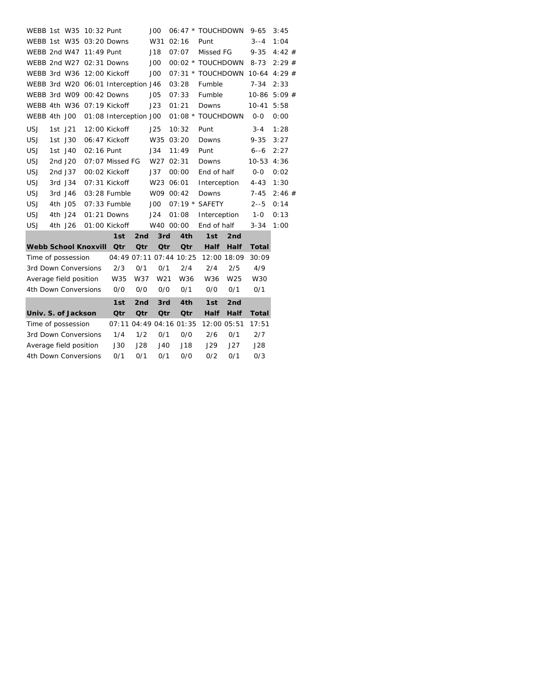| WEBB 1st W35           |         |         | 10:32 Punt                  |                                     |                 | JOO             |           | 06:47 * TOUCHDOWN |                 | $9 - 65$       | 3:45  |  |
|------------------------|---------|---------|-----------------------------|-------------------------------------|-----------------|-----------------|-----------|-------------------|-----------------|----------------|-------|--|
|                        |         |         |                             | WEBB 1st W35 03:20 Downs            |                 | W31             | 02:16     | Punt              |                 | $3 - -4$       | 1:04  |  |
| WEBB 2nd W47           |         |         | 11:49 Punt                  |                                     |                 | J18             | 07:07     | Missed FG         |                 | $9 - 35$       | 4:42# |  |
|                        |         |         |                             | WEBB 2nd W27 02:31 Downs            |                 | JOO             |           | 00:02 * TOUCHDOWN |                 | $8 - 73$       | 2:29# |  |
|                        |         |         |                             | WEBB 3rd W36 12:00 Kickoff          |                 | JOO             |           | 07:31 * TOUCHDOWN |                 | $10-64$ 4:29 # |       |  |
|                        |         |         |                             | WEBB 3rd W20 06:01 Interception J46 |                 |                 | 03:28     | Fumble            |                 | $7 - 34$       | 2:33  |  |
|                        |         |         |                             | WEBB 3rd W09 00:42 Downs            |                 | JO <sub>5</sub> | 07:33     | Fumble            |                 | 10-86          | 5:09# |  |
|                        |         |         |                             | WEBB 4th W36 07:19 Kickoff          |                 | J23             | 01:21     | Downs             |                 | $10 - 41$      | 5:58  |  |
| WEBB 4th J00           |         |         |                             | 01:08 Interception J00              |                 |                 | $01:08$ * | <b>TOUCHDOWN</b>  |                 | $0-0$          | 0:00  |  |
| <b>USJ</b>             | 1st J21 |         |                             | 12:00 Kickoff                       |                 | J25             | 10:32     | Punt              |                 | $3 - 4$        | 1:28  |  |
| <b>USJ</b>             |         | 1st J30 |                             | 06:47 Kickoff                       |                 | W35             | 03:20     | Downs             |                 | $9 - 35$       | 3:27  |  |
| <b>USJ</b>             |         | 1st J40 | 02:16 Punt                  |                                     |                 | J34             | 11:49     | Punt              |                 | $6 - -6$       | 2:27  |  |
| <b>USJ</b>             |         | 2nd J20 |                             | 07:07 Missed FG                     |                 | W27             | 02:31     | Downs             |                 | $10 - 53$      | 4:36  |  |
| <b>USJ</b>             |         | 2nd J37 |                             | 00:02 Kickoff                       |                 | J37             | 00:00     | End of half       |                 | $0-0$          | 0:02  |  |
| <b>USJ</b>             | 3rd J34 |         |                             | 07:31 Kickoff                       |                 | W23 06:01       |           | Interception      |                 | $4 - 43$       | 1:30  |  |
| <b>USJ</b>             |         | 3rd J46 |                             | 03:28 Fumble                        |                 | W09 00:42       |           | Downs             |                 | $7 - 45$       | 2:46# |  |
| <b>USJ</b>             |         | 4th J05 |                             | 07:33 Fumble                        |                 | JOO             |           | 07:19 * SAFETY    |                 | $2 - 5$        | 0:14  |  |
| <b>USJ</b>             |         | 4th J24 |                             | 01:21 Downs                         |                 | J24             | 01:08     | Interception      |                 | 1-0            | 0:13  |  |
| <b>USJ</b>             |         | 4th J26 |                             | 01:00 Kickoff                       |                 | W40 00:00       |           | End of half       |                 | $3 - 34$       | 1:00  |  |
|                        |         |         |                             | 1st                                 | 2 <sub>nd</sub> | 3rd             | 4th       | 1st               | 2nd             |                |       |  |
|                        |         |         | <b>Webb School Knoxvill</b> | Qtr                                 | Qtr             | <b>Qtr</b>      | Qtr       | <b>Half</b>       | <b>Half</b>     | <b>Total</b>   |       |  |
| Time of possession     |         |         |                             | 04:49 07:11 07:44 10:25             |                 |                 |           |                   | 12:00 18:09     | 30:09          |       |  |
| 3rd Down Conversions   |         |         |                             | 2/3                                 | 0/1             | 0/1             | 2/4       | 2/4               | 2/5             | 4/9            |       |  |
| Average field position |         |         |                             | W35                                 | W37             | W <sub>21</sub> | W36       | W36               | W <sub>25</sub> | W30            |       |  |
| 4th Down Conversions   |         |         |                             | O/O                                 | O/O             | O/O             | 0/1       | 0/0               | 0/1             | 0/1            |       |  |
|                        |         |         |                             | 1st                                 | 2nd             | 3rd             | 4th       | 1st               | 2nd             |                |       |  |
| Univ. S. of Jackson    |         |         |                             | Qtr                                 | Qtr             | Qtr             | Qtr       | <b>Half</b>       | <b>Half</b>     | <b>Total</b>   |       |  |
| Time of possession     |         |         |                             | 07:11 04:49 04:16 01:35             |                 |                 |           |                   | 12:00 05:51     | 17:51          |       |  |
| 3rd Down Conversions   |         |         |                             | 1/4                                 | 1/2             | 0/1             | 0/0       | 2/6               | 0/1             | 2/7            |       |  |
| Average field position |         |         |                             | <b>J30</b>                          | J28             | J40             | J18       | J29               | J27             | J28            |       |  |
| 4th Down Conversions   |         |         |                             | 0/1                                 | 0/1             | 0/1             | O/O       | 0/2               | 0/1             | 0/3            |       |  |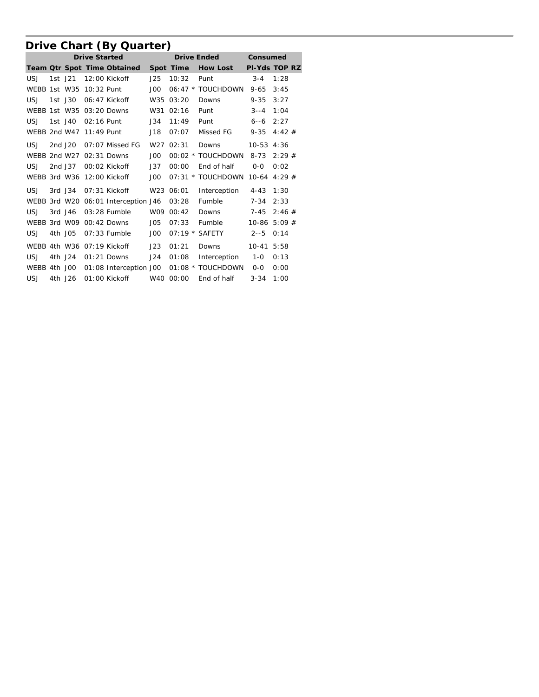# **Drive Chart (By Quarter)**

|              |           |                         | <b>Drive Started</b>                |                 | <b>Drive Ended</b> | Consumed          |               |                      |
|--------------|-----------|-------------------------|-------------------------------------|-----------------|--------------------|-------------------|---------------|----------------------|
|              |           |                         | Team Qtr Spot Time Obtained         |                 | Spot Time          | <b>How Lost</b>   |               | <b>PI-Yds TOP RZ</b> |
| <b>USJ</b>   | 1st J21   |                         | $12:00$ Kickoff                     | J25             | 10:32              | Punt              | $3 - 4$       | 1:28                 |
| WEBB 1st W35 |           | 10:32 Punt              |                                     | JOO             |                    | 06:47 * TOUCHDOWN | $9 - 65$      | 3:45                 |
| <b>USJ</b>   | 1st J30   |                         | 06:47 Kickoff                       |                 | W35 03:20          | Downs             | 9-35          | 3:27                 |
|              |           |                         | WEBB 1st W35 03:20 Downs            |                 | W31 02:16          | Punt              | $3 - -4$      | 1:04                 |
| <b>USJ</b>   | 1st J40   | 02:16 Punt              |                                     | J34             | 11:49              | Punt              | $6 - -6$      | 2:27                 |
|              |           | WEBB 2nd W47 11:49 Punt |                                     | J18             | 07:07              | Missed FG         | $9 - 35$      | 4:42#                |
| USJ          | 2nd J20   |                         | $07:07$ Missed FG                   |                 | W27 02:31          | Downs             | 10-53 4:36    |                      |
|              |           |                         | WEBB 2nd W27 02:31 Downs            | JOO             |                    | 00:02 * TOUCHDOWN | $8 - 73$      | 2:29#                |
| <b>USJ</b>   | 2nd J37   |                         | 00:02 Kickoff                       | J37             | 00:00              | End of half       | $0 - 0$       | 0:02                 |
|              |           |                         | WEBB 3rd W36 12:00 Kickoff          | JOO             |                    | 07:31 * TOUCHDOWN |               | $10-64$ 4:29 #       |
| <b>USJ</b>   | 3rd J34   |                         | 07:31 Kickoff                       |                 | W23 06:01          | Interception      | $4 - 43$ 1:30 |                      |
|              |           |                         | WEBB 3rd W20 06:01 Interception J46 |                 | 03:28              | Fumble            | $7 - 34$      | 2:33                 |
| <b>USJ</b>   | $3rd$ J46 |                         | $03:28$ Fumble                      |                 | W09 00:42          | Downs             | $7 - 45$      | 2:46#                |
|              |           |                         | WEBB 3rd W09 00:42 Downs            | JO <sub>5</sub> | 07:33              | Fumble            |               | $10-86$ 5:09 #       |
| USJ          | 4th J05   |                         | $07:33$ Fumble                      | JOO             |                    | 07:19 * SAFETY    | $2 - 5$       | 0:14                 |
|              |           |                         | WEBB 4th W36 07:19 Kickoff          | J23             | 01:21              | Downs             | $10-41$ 5:58  |                      |
| USJ          | 4th J24   |                         | $01:21$ Downs                       | J24             | 01:08              | Interception      | $1 - 0$       | 0:13                 |
|              |           |                         | WEBB 4th J00 01:08 Interception J00 |                 |                    | 01:08 * TOUCHDOWN | $0 - 0$       | 0:00                 |
| USJ          | 4th J26   |                         | 01:00 Kickoff W40 00:00             |                 |                    | End of half       | $3 - 34$      | 1:00                 |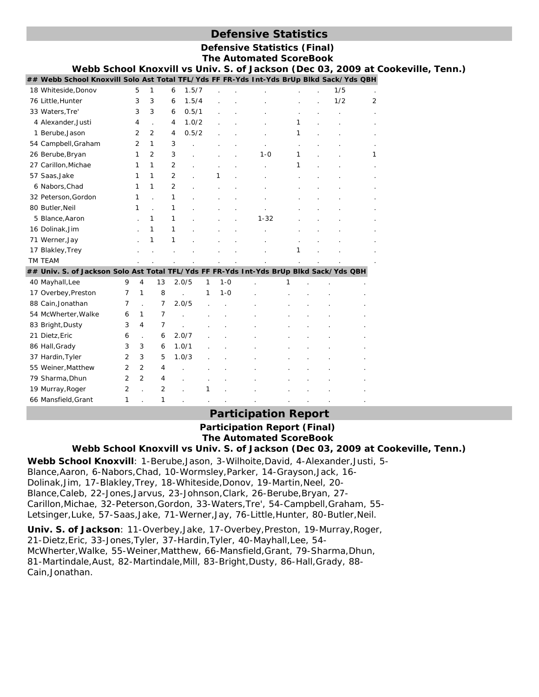## **Defensive Statistics**

**Defensive Statistics (Final) The Automated ScoreBook** 

| Webb School Knoxvill vs Univ. S. of Jackson (Dec 03, 2009 at Cookeville, Tenn.)         |                |                |                |                |       |   |         |          |   |  |     |   |  |  |
|-----------------------------------------------------------------------------------------|----------------|----------------|----------------|----------------|-------|---|---------|----------|---|--|-----|---|--|--|
| ## Webb School Knoxvill Solo Ast Total TFL/Yds FF FR-Yds Int-Yds BrUp Blkd Sack/Yds QBH |                |                |                |                |       |   |         |          |   |  |     |   |  |  |
| 18 Whiteside, Donov                                                                     |                | 5              | 1              | 6              | 1.5/7 |   |         |          |   |  | 1/5 |   |  |  |
| 76 Little, Hunter                                                                       |                | 3              | 3              | 6              | 1.5/4 |   |         |          |   |  | 1/2 | 2 |  |  |
| 33 Waters, Tre'                                                                         |                | 3              | 3              | 6              | 0.5/1 |   |         |          |   |  |     |   |  |  |
| 4 Alexander, Justi                                                                      |                | 4              |                | 4              | 1.0/2 |   |         |          | 1 |  |     |   |  |  |
| 1 Berube, Jason                                                                         |                | 2              | 2              | 4              | 0.5/2 |   |         |          | 1 |  |     |   |  |  |
| 54 Campbell, Graham                                                                     |                | $\overline{2}$ | 1              | 3              |       |   |         |          |   |  |     |   |  |  |
| 26 Berube, Bryan                                                                        |                | 1              | 2              | 3              |       |   |         | $1 - 0$  | 1 |  |     | 1 |  |  |
| 27 Carillon, Michae                                                                     |                | 1              | 1              | 2              |       |   |         |          | 1 |  |     |   |  |  |
| 57 Saas, Jake                                                                           |                | 1              | 1              | 2              |       |   |         |          |   |  |     |   |  |  |
| 6 Nabors, Chad                                                                          |                | 1              | 1              | $\overline{2}$ |       |   |         |          |   |  |     |   |  |  |
| 32 Peterson, Gordon                                                                     |                | 1              |                | 1              |       |   |         |          |   |  |     |   |  |  |
| 80 Butler, Neil                                                                         |                | $\mathbf{1}$   |                | 1              |       |   |         |          |   |  |     |   |  |  |
| 5 Blance, Aaron                                                                         |                |                | 1              | 1              |       |   |         | $1 - 32$ |   |  |     |   |  |  |
| 16 Dolinak, Jim                                                                         |                |                | 1              | 1              |       |   |         |          |   |  |     |   |  |  |
| 71 Werner, Jay                                                                          |                |                | 1              | 1              |       |   |         |          |   |  |     |   |  |  |
| 17 Blakley, Trey                                                                        |                |                |                |                |       |   |         |          |   |  |     |   |  |  |
| TM TEAM                                                                                 |                |                |                |                |       |   |         |          |   |  |     |   |  |  |
| ## Univ. S. of Jackson Solo Ast Total TFL/Yds FF FR-Yds Int-Yds BrUp Blkd Sack/Yds QBH  |                |                |                |                |       |   |         |          |   |  |     |   |  |  |
| 40 Mayhall, Lee                                                                         | 9              | 4              | 13             |                | 2.0/5 | 1 | $1 - 0$ |          | 1 |  |     |   |  |  |
| 17 Overbey, Preston                                                                     | 7              | 1              | 8              |                |       | 1 | $1 - 0$ |          |   |  |     |   |  |  |
| 88 Cain, Jonathan                                                                       | 7              |                | 7              |                | 2.0/5 |   |         |          |   |  |     |   |  |  |
| 54 McWherter, Walke                                                                     | 6              | 1              | $\overline{7}$ |                |       |   |         |          |   |  |     |   |  |  |
| 83 Bright, Dusty                                                                        | 3              | 4              | 7              |                |       |   |         |          |   |  |     |   |  |  |
| 21 Dietz, Eric                                                                          | 6              |                | 6              |                | 2.0/7 |   |         |          |   |  |     |   |  |  |
| 86 Hall, Grady                                                                          | 3              | 3              | 6              |                | 1.0/1 |   |         |          |   |  |     |   |  |  |
| 37 Hardin, Tyler                                                                        | $\overline{2}$ | 3              | 5              |                | 1.0/3 |   |         |          |   |  |     |   |  |  |
| 55 Weiner, Matthew                                                                      | $\overline{2}$ | $\overline{2}$ | 4              |                |       |   |         |          |   |  |     |   |  |  |
| 79 Sharma, Dhun                                                                         | $\overline{2}$ | $\overline{2}$ | 4              |                |       |   |         |          |   |  |     |   |  |  |
| 19 Murray, Roger                                                                        | 2              |                | $\overline{2}$ |                |       |   |         |          |   |  |     |   |  |  |
| 66 Mansfield, Grant                                                                     | 1              |                | 1              |                |       |   |         |          |   |  |     |   |  |  |

## **Participation Report**

**Participation Report (Final) The Automated ScoreBook Webb School Knoxvill vs Univ. S. of Jackson (Dec 03, 2009 at Cookeville, Tenn.)**

**Webb School Knoxvill**: 1-Berube,Jason, 3-Wilhoite,David, 4-Alexander,Justi, 5- Blance,Aaron, 6-Nabors,Chad, 10-Wormsley,Parker, 14-Grayson,Jack, 16- Dolinak,Jim, 17-Blakley,Trey, 18-Whiteside,Donov, 19-Martin,Neel, 20- Blance,Caleb, 22-Jones,Jarvus, 23-Johnson,Clark, 26-Berube,Bryan, 27- Carillon,Michae, 32-Peterson,Gordon, 33-Waters,Tre', 54-Campbell,Graham, 55- Letsinger,Luke, 57-Saas,Jake, 71-Werner,Jay, 76-Little,Hunter, 80-Butler,Neil.

**Univ. S. of Jackson**: 11-Overbey,Jake, 17-Overbey,Preston, 19-Murray,Roger, 21-Dietz,Eric, 33-Jones,Tyler, 37-Hardin,Tyler, 40-Mayhall,Lee, 54- McWherter,Walke, 55-Weiner,Matthew, 66-Mansfield,Grant, 79-Sharma,Dhun, 81-Martindale,Aust, 82-Martindale,Mill, 83-Bright,Dusty, 86-Hall,Grady, 88- Cain,Jonathan.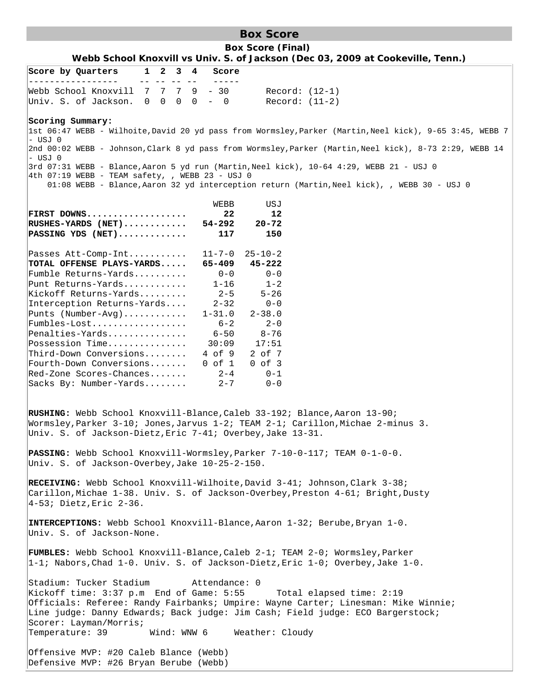## **Box Score**

**Box Score (Final) Webb School Knoxvill vs Univ. S. of Jackson (Dec 03, 2009 at Cookeville, Tenn.)**

|                        |  | Score by Quarters                                  |  | 1 2 3 4     |  |  | Score                   |                                                                                                                                                             |
|------------------------|--|----------------------------------------------------|--|-------------|--|--|-------------------------|-------------------------------------------------------------------------------------------------------------------------------------------------------------|
|                        |  | Webb School Knoxvill $7 \t7 \t7 \t9 \t-30$         |  | -- -- -- -- |  |  |                         | $Record: (12-1)$                                                                                                                                            |
|                        |  | Univ. S. of Jackson.                               |  |             |  |  | $0 \t0 \t0 \t0 \t- \t0$ | Record: (11-2)                                                                                                                                              |
|                        |  |                                                    |  |             |  |  |                         |                                                                                                                                                             |
|                        |  | Scoring Summary:                                   |  |             |  |  |                         | 1st 06:47 WEBB - Wilhoite, David 20 yd pass from Wormsley, Parker (Martin, Neel kick), 9-65 3:45, WEBB 7                                                    |
| $ -$ USJ 0             |  |                                                    |  |             |  |  |                         | 2nd 00:02 WEBB - Johnson, Clark 8 yd pass from Wormsley, Parker (Martin, Neel kick), 8-73 2:29, WEBB 14                                                     |
| - USJ 0                |  |                                                    |  |             |  |  |                         | 3rd 07:31 WEBB - Blance, Aaron 5 yd run (Martin, Neel kick), 10-64 4:29, WEBB 21 - USJ 0                                                                    |
|                        |  | $ 4th 07:19$ WEBB - TEAM safety, , WEBB 23 - USJ 0 |  |             |  |  |                         |                                                                                                                                                             |
|                        |  |                                                    |  |             |  |  |                         | 01:08 WEBB - Blance, Aaron 32 yd interception return (Martin, Neel kick), , WEBB 30 - USJ 0                                                                 |
|                        |  |                                                    |  |             |  |  | WEBB                    | USJ                                                                                                                                                         |
|                        |  | FIRST DOWNS                                        |  |             |  |  | 22 <sub>1</sub>         | 12                                                                                                                                                          |
|                        |  | $RUSHES-YARDS$ (NET)                               |  |             |  |  | 54-292                  | $20 - 72$                                                                                                                                                   |
|                        |  | $\texttt{PASSING}$ YDS (NET)                       |  |             |  |  | 117                     | 150                                                                                                                                                         |
|                        |  | Passes $Att$ - $Comp$ - $Int$                      |  |             |  |  | $11 - 7 - 0$            | $25 - 10 - 2$                                                                                                                                               |
|                        |  | TOTAL OFFENSE PLAYS-YARDS                          |  |             |  |  | 65-409                  | 45-222                                                                                                                                                      |
|                        |  | $Fumble$ Returns-Yards                             |  |             |  |  | $0 - 0$                 | $0 - 0$                                                                                                                                                     |
|                        |  | Punt Returns-Yards                                 |  |             |  |  | $1 - 16$                | $1 - 2$                                                                                                                                                     |
|                        |  | Kickoff Returns-Yards                              |  |             |  |  | $2 - 5$                 | $5 - 26$<br>$0 - 0$                                                                                                                                         |
|                        |  | Interception Returns-Yards<br>Punts (Number-Avg)   |  |             |  |  | $2 - 32$<br>$1 - 31.0$  | $2 - 38.0$                                                                                                                                                  |
|                        |  |                                                    |  |             |  |  | $6 - 2$                 | $2 - 0$                                                                                                                                                     |
|                        |  | Penalties-Yards                                    |  |             |  |  | $6 - 50$                | $8 - 76$                                                                                                                                                    |
|                        |  | Possession Time                                    |  |             |  |  | 30:09                   | 17:51                                                                                                                                                       |
|                        |  | Third-Down Conversions<br>Fourth-Down Conversions  |  |             |  |  | 4 of 9<br>$0$ of $1$    | 2 of 7                                                                                                                                                      |
|                        |  | Red-Zone Scores-Chances                            |  |             |  |  | $2 - 4$                 | $0$ of $3$<br>$0 - 1$                                                                                                                                       |
|                        |  | Sacks By: Number-Yards                             |  |             |  |  | $2 - 7$                 | $0 - 0$                                                                                                                                                     |
|                        |  |                                                    |  |             |  |  |                         |                                                                                                                                                             |
|                        |  |                                                    |  |             |  |  |                         |                                                                                                                                                             |
|                        |  |                                                    |  |             |  |  |                         | RUSHING: Webb School Knoxvill-Blance, Caleb 33-192; Blance, Aaron 13-90;<br>Wormsley, Parker 3-10; Jones, Jarvus 1-2; TEAM 2-1; Carillon, Michae 2-minus 3. |
|                        |  |                                                    |  |             |  |  |                         | Univ. S. of Jackson-Dietz, Eric 7-41; Overbey, Jake 13-31.                                                                                                  |
|                        |  |                                                    |  |             |  |  |                         |                                                                                                                                                             |
|                        |  |                                                    |  |             |  |  |                         | <b>PASSING:</b> Webb School Knoxvill-Wormsley, Parker $7-10-0-117$ ; TEAM $0-1-0-0$ .                                                                       |
|                        |  | Univ. S. of Jackson-Overbey, Jake 10-25-2-150.     |  |             |  |  |                         |                                                                                                                                                             |
|                        |  |                                                    |  |             |  |  |                         | RECEIVING: Webb School Knoxvill-Wilhoite, David 3-41; Johnson, Clark 3-38;                                                                                  |
|                        |  |                                                    |  |             |  |  |                         | Carillon, Michae 1-38. Univ. S. of Jackson-Overbey, Preston 4-61; Bright, Dusty                                                                             |
|                        |  | $ 4-53;$ Dietz, Eric $2-36$ .                      |  |             |  |  |                         |                                                                                                                                                             |
|                        |  |                                                    |  |             |  |  |                         |                                                                                                                                                             |
|                        |  |                                                    |  |             |  |  |                         | INTERCEPTIONS: Webb School Knoxvill-Blance, Aaron 1-32; Berube, Bryan 1-0.                                                                                  |
|                        |  | Univ. S. of Jackson-None.                          |  |             |  |  |                         |                                                                                                                                                             |
|                        |  |                                                    |  |             |  |  |                         | FUMBLES: Webb School Knoxvill-Blance, Caleb 2-1; TEAM 2-0; Wormsley, Parker                                                                                 |
|                        |  |                                                    |  |             |  |  |                         | $ 1-1;$ Nabors, Chad 1-0. Univ. S. of Jackson-Dietz, Eric 1-0; Overbey, Jake 1-0.                                                                           |
|                        |  |                                                    |  |             |  |  |                         |                                                                                                                                                             |
|                        |  | Stadium: Tucker Stadium                            |  |             |  |  | Attendance: 0           | Kickoff time: 3:37 p.m End of Game: 5:55 Total elapsed time: 2:19                                                                                           |
|                        |  |                                                    |  |             |  |  |                         | Officials: Referee: Randy Fairbanks; Umpire: Wayne Carter; Linesman: Mike Winnie;                                                                           |
|                        |  |                                                    |  |             |  |  |                         | Line judge: Danny Edwards; Back judge: Jim Cash; Field judge: ECO Bargerstock;                                                                              |
| Scorer: Layman/Morris; |  |                                                    |  |             |  |  |                         |                                                                                                                                                             |
|                        |  | Temperature: 39                                    |  |             |  |  | Wind: WNW 6             | Weather: Cloudy                                                                                                                                             |
|                        |  | Offensive MVP: #20 Caleb Blance (Webb)             |  |             |  |  |                         |                                                                                                                                                             |
|                        |  | Defensive MVP: #26 Bryan Berube (Webb)             |  |             |  |  |                         |                                                                                                                                                             |
|                        |  |                                                    |  |             |  |  |                         |                                                                                                                                                             |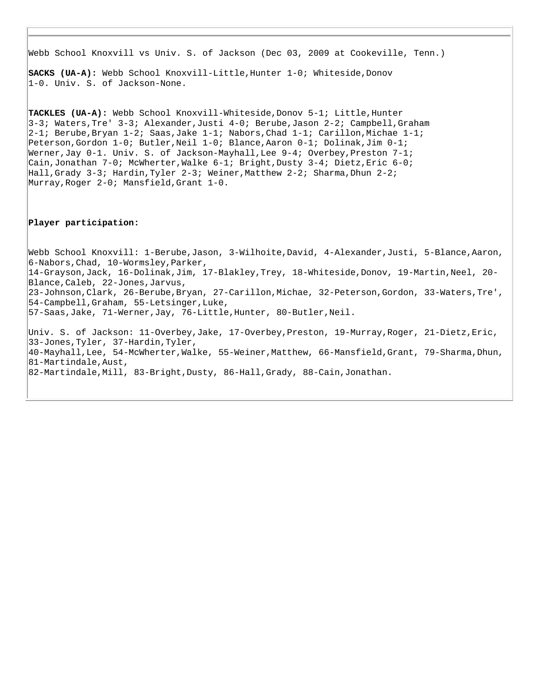Webb School Knoxvill vs Univ. S. of Jackson (Dec 03, 2009 at Cookeville, Tenn.)

**SACKS (UA-A):** Webb School Knoxvill-Little, Hunter 1-0; Whiteside, Donov 1-0. Univ. S. of Jackson-None.

**TACKLES (UA-A):** Webb School Knoxvill-Whiteside,Donov 5-1; Little,Hunter 3-3; Waters,Tre' 3-3; Alexander,Justi 4-0; Berube,Jason 2-2; Campbell,Graham  $2-1$ ; Berube,Bryan 1-2; Saas,Jake 1-1; Nabors,Chad 1-1; Carillon,Michae 1-1; Peterson,Gordon 1-0; Butler,Neil 1-0; Blance,Aaron 0-1; Dolinak,Jim 0-1; Werner,Jay  $0-1$ . Univ. S. of Jackson-Mayhall,Lee  $9-4$ ; Overbey,Preston  $7-1$ ; Cain,Jonathan 7-0; McWherter,Walke 6-1; Bright,Dusty 3-4; Dietz,Eric 6-0; Hall,Grady 3-3; Hardin,Tyler 2-3; Weiner,Matthew 2-2; Sharma,Dhun 2-2; Murray,Roger 2-0; Mansfield,Grant 1-0.

#### **Player participation:**

Webb School Knoxvill: 1-Berube,Jason, 3-Wilhoite,David, 4-Alexander,Justi, 5-Blance,Aaron, 6-Nabors,Chad, 10-Wormsley,Parker, 14-Grayson,Jack, 16-Dolinak,Jim, 17-Blakley,Trey, 18-Whiteside,Donov, 19-Martin,Neel, 20- Blance,Caleb, 22-Jones,Jarvus, 23-Johnson,Clark, 26-Berube,Bryan, 27-Carillon,Michae, 32-Peterson,Gordon, 33-Waters,Tre', 54-Campbell,Graham, 55-Letsinger,Luke, 57-Saas,Jake, 71-Werner,Jay, 76-Little,Hunter, 80-Butler,Neil. Univ. S. of Jackson: 11-Overbey,Jake, 17-Overbey,Preston, 19-Murray,Roger, 21-Dietz,Eric, 33-Jones,Tyler, 37-Hardin,Tyler, 40-Mayhall,Lee, 54-McWherter,Walke, 55-Weiner,Matthew, 66-Mansfield,Grant, 79-Sharma,Dhun, 81-Martindale,Aust, 82-Martindale,Mill, 83-Bright,Dusty, 86-Hall,Grady, 88-Cain,Jonathan.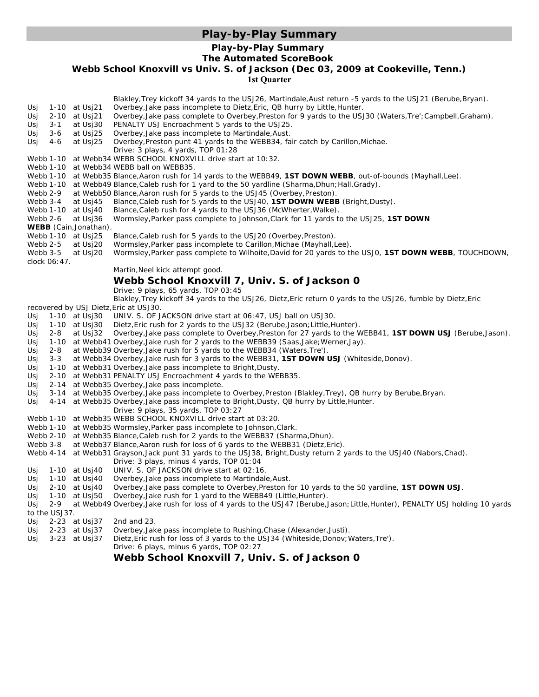## **Play-by-Play Summary**

## **Play-by-Play Summary**

#### **The Automated ScoreBook**

**Webb School Knoxvill vs Univ. S. of Jackson (Dec 03, 2009 at Cookeville, Tenn.)**

**1st Quarter**

|            |               |                                    | Blakley, Trey kickoff 34 yards to the USJ26, Martindale, Aust return -5 yards to the USJ21 (Berube, Bryan).                                                         |
|------------|---------------|------------------------------------|---------------------------------------------------------------------------------------------------------------------------------------------------------------------|
| Usj        |               | 1-10 at Usi21                      | Overbey, Jake pass incomplete to Dietz, Eric, QB hurry by Little, Hunter.                                                                                           |
| Usj        |               | 2-10 at Usj21                      | Overbey, Jake pass complete to Overbey, Preston for 9 yards to the USJ30 (Waters, Tre'; Campbell, Graham).                                                          |
| Usj        | 3-1           | at Usj30                           | PENALTY USJ Encroachment 5 yards to the USJ25.                                                                                                                      |
| Usj        | $3-6$         | at Usj25                           | Overbey, Jake pass incomplete to Martindale, Aust.                                                                                                                  |
| Usj        | 4-6           | at Usj25                           | Overbey, Preston punt 41 yards to the WEBB34, fair catch by Carillon, Michae.                                                                                       |
|            |               |                                    | Drive: 3 plays, 4 yards, TOP 01:28                                                                                                                                  |
|            |               |                                    | Webb 1-10 at Webb34 WEBB SCHOOL KNOXVILL drive start at 10:32.                                                                                                      |
|            |               |                                    | Webb 1-10 at Webb34 WEBB ball on WEBB35.                                                                                                                            |
|            |               |                                    | Webb 1-10 at Webb35 Blance, Aaron rush for 14 yards to the WEBB49, 1ST DOWN WEBB, out-of-bounds (Mayhall, Lee).                                                     |
|            |               |                                    | Webb 1-10 at Webb49 Blance, Caleb rush for 1 yard to the 50 yardline (Sharma, Dhun; Hall, Grady).                                                                   |
|            | Webb 2-9      |                                    | at Webb50 Blance, Aaron rush for 5 yards to the USJ45 (Overbey, Preston).                                                                                           |
|            | Webb 3-4      | at Usj45                           | Blance, Caleb rush for 5 yards to the USJ40, 1ST DOWN WEBB (Bright, Dusty).                                                                                         |
|            |               | Webb 1-10 at Usj40                 | Blance, Caleb rush for 4 yards to the USJ36 (McWherter, Walke).                                                                                                     |
| Webb 2-6   |               | at Usj36                           | Wormsley, Parker pass complete to Johnson, Clark for 11 yards to the USJ25, 1ST DOWN                                                                                |
|            |               | <b>WEBB</b> (Cain, Jonathan).      |                                                                                                                                                                     |
|            |               | Webb 1-10 at Usj25                 | Blance, Caleb rush for 5 yards to the USJ20 (Overbey, Preston).                                                                                                     |
| Webb 2-5   |               | at Usj20                           | Wormsley, Parker pass incomplete to Carillon, Michae (Mayhall, Lee).                                                                                                |
| Webb 3-5   |               | at Usj20                           | Wormsley, Parker pass complete to Wilhoite, David for 20 yards to the USJ0, 1ST DOWN WEBB, TOUCHDOWN,                                                               |
|            | clock 06:47.  |                                    | Martin, Neel kick attempt good.                                                                                                                                     |
|            |               |                                    |                                                                                                                                                                     |
|            |               |                                    | Webb School Knoxvill 7, Univ. S. of Jackson 0                                                                                                                       |
|            |               |                                    | Drive: 9 plays, 65 yards, TOP 03:45                                                                                                                                 |
|            |               |                                    | Blakley, Trey kickoff 34 yards to the USJ26, Dietz, Eric return 0 yards to the USJ26, fumble by Dietz, Eric                                                         |
|            |               |                                    | recovered by USJ Dietz, Eric at USJ30.                                                                                                                              |
| Usj        |               | 1-10 at Usj30                      | UNIV. S. OF JACKSON drive start at 06:47, USJ ball on USJ30.                                                                                                        |
| Usj        |               | 1-10 at Usj30                      | Dietz, Eric rush for 2 yards to the USJ32 (Berube, Jason; Little, Hunter).                                                                                          |
| Usj        | 2-8           |                                    | at Usj32 Overbey, Jake pass complete to Overbey, Preston for 27 yards to the WEBB41, 1ST DOWN USJ (Berube, Jason).                                                  |
| Usj        |               |                                    | 1-10 at Webb41 Overbey, Jake rush for 2 yards to the WEBB39 (Saas, Jake; Werner, Jay).                                                                              |
| Usj        | 2-8           |                                    | at Webb39 Overbey, Jake rush for 5 yards to the WEBB34 (Waters, Tre').                                                                                              |
| Usj        | $3 - 3$       |                                    | at Webb34 Overbey, Jake rush for 3 yards to the WEBB31, 1ST DOWN USJ (Whiteside, Donov).                                                                            |
| Usj        |               |                                    | 1-10 at Webb31 Overbey, Jake pass incomplete to Bright, Dusty.                                                                                                      |
| Usj        |               |                                    | 2-10 at Webb31 PENALTY USJ Encroachment 4 yards to the WEBB35.                                                                                                      |
| Usj        |               |                                    | 2-14 at Webb35 Overbey, Jake pass incomplete.                                                                                                                       |
| Usj        |               |                                    | 3-14 at Webb35 Overbey, Jake pass incomplete to Overbey, Preston (Blakley, Trey), QB hurry by Berube, Bryan.                                                        |
| Usj        |               |                                    | 4-14 at Webb35 Overbey, Jake pass incomplete to Bright, Dusty, QB hurry by Little, Hunter.                                                                          |
|            |               |                                    | Drive: 9 plays, 35 yards, TOP 03:27                                                                                                                                 |
|            |               |                                    | Webb 1-10 at Webb35 WEBB SCHOOL KNOXVILL drive start at 03:20.                                                                                                      |
|            |               |                                    | Webb 1-10 at Webb35 Wormsley, Parker pass incomplete to Johnson, Clark.                                                                                             |
|            |               |                                    | Webb 2-10 at Webb35 Blance, Caleb rush for 2 yards to the WEBB37 (Sharma, Dhun).                                                                                    |
|            | Webb 3-8      |                                    | at Webb37 Blance, Aaron rush for loss of 6 yards to the WEBB31 (Dietz, Eric).                                                                                       |
|            |               |                                    | Webb 4-14 at Webb31 Grayson, Jack punt 31 yards to the USJ38, Bright, Dusty return 2 yards to the USJ40 (Nabors, Chad).<br>Drive: 3 plays, minus 4 yards, TOP 01:04 |
|            |               |                                    |                                                                                                                                                                     |
| Usj        |               |                                    | 1-10 at Usj40 UNIV. S. OF JACKSON drive start at 02:16.                                                                                                             |
| Usj        |               |                                    | 1-10 at Usj40 Overbey, Jake pass incomplete to Martindale, Aust.<br>Overbey, Jake pass complete to Overbey, Preston for 10 yards to the 50 yardline, 1ST DOWN USJ.  |
| Usj        |               | $2-10$ at Usj40<br>1-10 at $Usj50$ | Overbey, Jake rush for 1 yard to the WEBB49 (Little, Hunter).                                                                                                       |
| Usj<br>Usj | $2 - 9$       |                                    | at Webb49 Overbey, Jake rush for loss of 4 yards to the USJ47 (Berube, Jason; Little, Hunter), PENALTY USJ holding 10 yards                                         |
|            | to the USJ37. |                                    |                                                                                                                                                                     |
| Usj        |               | 2-23 at Usj37                      | 2nd and 23.                                                                                                                                                         |
| Usj        |               | 2-23 at Usj37                      | Overbey, Jake pass incomplete to Rushing, Chase (Alexander, Justi).                                                                                                 |
| Usj        |               | 3-23 at Usj37                      | Dietz, Eric rush for loss of 3 yards to the USJ34 (Whiteside, Donov; Waters, Tre').                                                                                 |
|            |               |                                    | Drive: 6 plays, minus 6 yards, TOP 02:27                                                                                                                            |
|            |               |                                    |                                                                                                                                                                     |

## **Webb School Knoxvill 7, Univ. S. of Jackson 0**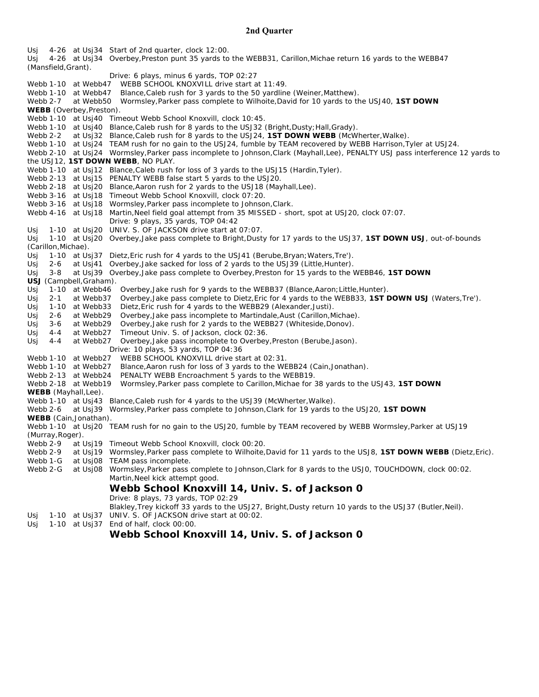#### **2nd Quarter**

Usj 4-26 at Usj34 Start of 2nd quarter, clock 12:00. Usj 4-26 at Usj34 Overbey,Preston punt 35 yards to the WEBB31, Carillon,Michae return 16 yards to the WEBB47 (Mansfield,Grant). Drive: 6 plays, minus 6 yards, TOP 02:27 Webb 1-10 at Webb47 WEBB SCHOOL KNOXVILL drive start at 11:49. Webb 1-10 at Webb47 Blance, Caleb rush for 3 yards to the 50 yardline (Weiner, Matthew). Webb 2-7 at Webb50 Wormsley,Parker pass complete to Wilhoite,David for 10 yards to the USJ40, **1ST DOWN WEBB** (Overbey,Preston). Webb 1-10 at Usj40 Timeout Webb School Knoxvill, clock 10:45. Webb 1-10 at Usj40 Blance, Caleb rush for 8 yards to the USJ32 (Bright, Dusty; Hall, Grady).<br>Webb 2-2 at Usi32 Blance, Caleb rush for 8 yards to the USJ24, **1ST DOWN WEBB** (McWl at Usj32 Blance,Caleb rush for 8 yards to the USJ24, **1ST DOWN WEBB** (McWherter, Walke). Webb 1-10 at Usi24 TEAM rush for no gain to the USJ24, fumble by TEAM recovered by WEBB Harrison, Tyler at USJ24. Webb 2-10 at Usj24 Wormsley,Parker pass incomplete to Johnson,Clark (Mayhall,Lee), *PENALTY USJ pass interference 12 yards to the USJ12, 1ST DOWN WEBB*, NO PLAY. Webb 1-10 at Usj12 Blance, Caleb rush for loss of 3 yards to the USJ15 (Hardin, Tyler). Webb 2-13 at Usj15 *PENALTY WEBB false start 5 yards to the USJ20*. Webb 2-18 at Usj20 Blance, Aaron rush for 2 yards to the USJ18 (Mayhall, Lee). Webb 3-16 at Usj18 Timeout Webb School Knoxvill, clock 07:20. Webb 3-16 at Usj18 Wormsley,Parker pass incomplete to Johnson,Clark. Webb 4-16 at Usj18 Martin, Neel field goal attempt from 35 MISSED - short, spot at USJ20, clock 07:07. Drive: 9 plays, 35 yards, TOP 04:42 Usj 1-10 at Usj20 UNIV. S. OF JACKSON drive start at 07:07. Usj 1-10 at Usj20 Overbey,Jake pass complete to Bright,Dusty for 17 yards to the USJ37, **1ST DOWN USJ**, out-of-bounds (Carillon,Michae). Usj 1-10 at Usj37 Dietz,Eric rush for 4 yards to the USJ41 (Berube,Bryan;Waters,Tre'). Usj 2-6 at Usj41 Overbey,Jake sacked for loss of 2 yards to the USJ39 (Little,Hunter). Usj 3-8 at Usj39 Overbey,Jake pass complete to Overbey,Preston for 15 yards to the WEBB46, **1ST DOWN USJ** (Campbell,Graham). Usj 1-10 at Webb46 Overbey, Jake rush for 9 yards to the WEBB37 (Blance, Aaron; Little, Hunter). Usj 2-1 at Webb37 Overbey,Jake pass complete to Dietz,Eric for 4 yards to the WEBB33, **1ST DOWN USJ** (Waters,Tre'). Usj 1-10 at Webb33 Dietz,Eric rush for 4 yards to the WEBB29 (Alexander,Justi). Usj 2-6 at Webb29 Overbey,Jake pass incomplete to Martindale,Aust (Carillon,Michae). Usj 3-6 at Webb29 Overbey,Jake rush for 2 yards to the WEBB27 (Whiteside,Donov). Usj 4-4 at Webb27 Timeout Univ. S. of Jackson, clock 02:36. Usj 4-4 at Webb27 Overbey,Jake pass incomplete to Overbey,Preston (Berube,Jason). Drive: 10 plays, 53 yards, TOP 04:36 Webb 1-10 at Webb27 WEBB SCHOOL KNOXVILL drive start at 02:31. Webb 1-10 at Webb27 Blance,Aaron rush for loss of 3 yards to the WEBB24 (Cain,Jonathan). Webb 2-13 at Webb24 *PENALTY WEBB Encroachment 5 yards to the WEBB19*. Webb 2-18 at Webb19 Wormsley,Parker pass complete to Carillon,Michae for 38 yards to the USJ43, **1ST DOWN WEBB** (Mayhall,Lee). Webb 1-10 at Usj43 Blance, Caleb rush for 4 yards to the USJ39 (McWherter, Walke). Webb 2-6 at Usj39 Wormsley,Parker pass complete to Johnson,Clark for 19 yards to the USJ20, **1ST DOWN WEBB** (Cain,Jonathan). Webb 1-10 at Usj20 TEAM rush for no gain to the USJ20, fumble by TEAM recovered by WEBB Wormsley,Parker at USJ19 (Murray,Roger). Webb 2-9 at Usj19 Timeout Webb School Knoxvill, clock 00:20. Webb 2-9 at Usj19 Wormsley, Parker pass complete to Wilhoite, David for 11 yards to the USJ8, **1ST DOWN WEBB** (Dietz, Eric). Webb 1-G at Usj08 TEAM pass incomplete. Webb 2-G at Usj08 Wormsley,Parker pass complete to Johnson,Clark for 8 yards to the USJ0, TOUCHDOWN, clock 00:02. Martin,Neel kick attempt good. **Webb School Knoxvill 14, Univ. S. of Jackson 0** Drive: 8 plays, 73 yards, TOP 02:29 Blakley,Trey kickoff 33 yards to the USJ27, Bright,Dusty return 10 yards to the USJ37 (Butler,Neil). Usj 1-10 at Usj37 UNIV. S. OF JACKSON drive start at 00:02. Usj 1-10 at Usj37 End of half, clock 00:00.

## **Webb School Knoxvill 14, Univ. S. of Jackson 0**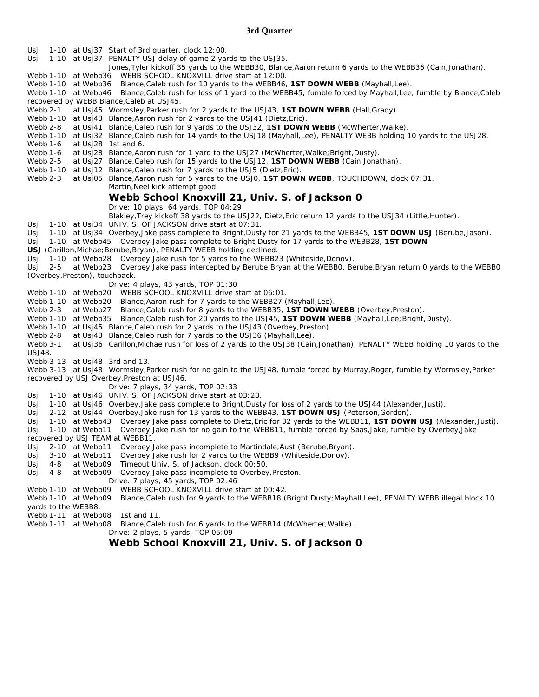#### **3rd Quarter**

Usj 1-10 at Usj37 Start of 3rd quarter, clock 12:00. Usj 1-10 at Usj37 *PENALTY USJ delay of game 2 yards to the USJ35*. Jones,Tyler kickoff 35 yards to the WEBB30, Blance,Aaron return 6 yards to the WEBB36 (Cain,Jonathan). Webb 1-10 at Webb36 WEBB SCHOOL KNOXVILL drive start at 12:00. Webb 1-10 at Webb36 Blance,Caleb rush for 10 yards to the WEBB46, **1ST DOWN WEBB** (Mayhall,Lee). Webb 1-10 at Webb46 Blance,Caleb rush for loss of 1 yard to the WEBB45, fumble forced by Mayhall,Lee, fumble by Blance,Caleb recovered by WEBB Blance,Caleb at USJ45. Webb 2-1 at Usj45 Wormsley,Parker rush for 2 yards to the USJ43, **1ST DOWN WEBB** (Hall,Grady). Webb 1-10 at Usj43 Blance, Aaron rush for 2 yards to the USJ41 (Dietz, Eric). Webb 2-8 at Usj41 Blance,Caleb rush for 9 yards to the USJ32, **1ST DOWN WEBB** (McWherter,Walke). Webb 1-10 at Usj32 Blance,Caleb rush for 14 yards to the USJ18 (Mayhall,Lee), *PENALTY WEBB holding 10 yards to the USJ28*. Webb 1-6 at Usi28 1st and 6. Webb 1-6 at Usj28 Blance,Aaron rush for 1 yard to the USJ27 (McWherter, Walke; Bright, Dusty). Webb 2-5 at Usi27 Blance, Caleb rush for 15 yards to the USJ12, **1ST DOWN WEBB** (Cain, Jonathan). Webb 1-10 at Usi12 Blance, Caleb rush for 7 yards to the USJ5 (Dietz, Eric). Webb 2-3 at Usj05 Blance,Aaron rush for 5 yards to the USJ0, **1ST DOWN WEBB**, TOUCHDOWN, clock 07:31. Martin,Neel kick attempt good. **Webb School Knoxvill 21, Univ. S. of Jackson 0** Drive: 10 plays, 64 yards, TOP 04:29 Blakley,Trey kickoff 38 yards to the USJ22, Dietz,Eric return 12 yards to the USJ34 (Little,Hunter). Usj 1-10 at Usj34 UNIV. S. OF JACKSON drive start at 07:31. Usj 1-10 at Usj34 Overbey,Jake pass complete to Bright,Dusty for 21 yards to the WEBB45, **1ST DOWN USJ** (Berube,Jason). Usj 1-10 at Webb45 Overbey,Jake pass complete to Bright,Dusty for 17 yards to the WEBB28, **1ST DOWN USJ** (Carillon,Michae;Berube,Bryan), *PENALTY WEBB holding declined*. Usj 1-10 at Webb28 Overbey,Jake rush for 5 yards to the WEBB23 (Whiteside,Donov). Usj 2-5 at Webb23 Overbey,Jake pass intercepted by Berube,Bryan at the WEBB0, Berube,Bryan return 0 yards to the WEBB0 (Overbey,Preston), touchback. Drive: 4 plays, 43 yards, TOP 01:30 Webb 1-10 at Webb20 WEBB SCHOOL KNOXVILL drive start at 06:01. Webb 1-10 at Webb20 Blance, Aaron rush for 7 yards to the WEBB27 (Mayhall, Lee). Webb 2-3 at Webb27 Blance,Caleb rush for 8 yards to the WEBB35, **1ST DOWN WEBB** (Overbey,Preston). Webb 1-10 at Webb35 Blance,Caleb rush for 20 yards to the USJ45, **1ST DOWN WEBB** (Mayhall,Lee;Bright,Dusty). Webb 1-10 at Usj45 Blance, Caleb rush for 2 yards to the USJ43 (Overbey, Preston). Webb 2-8 at Usj43 Blance, Caleb rush for 7 yards to the USJ36 (Mayhall, Lee). Webb 3-1 at Usj36 Carillon,Michae rush for loss of 2 yards to the USJ38 (Cain,Jonathan), *PENALTY WEBB holding 10 yards to the USJ48*. Webb 3-13 at Usj48 3rd and 13. Webb 3-13 at Usj48 Wormsley,Parker rush for no gain to the USJ48, fumble forced by Murray,Roger, fumble by Wormsley,Parker recovered by USJ Overbey,Preston at USJ46. Drive: 7 plays, 34 yards, TOP 02:33 Usj 1-10 at Usj46 UNIV. S. OF JACKSON drive start at 03:28. Usj 1-10 at Usj46 Overbey, Jake pass complete to Bright, Dusty for loss of 2 yards to the USJ44 (Alexander, Justi). Usj 2-12 at Usj44 Overbey,Jake rush for 13 yards to the WEBB43, **1ST DOWN USJ** (Peterson,Gordon). Usj 1-10 at Webb43 Overbey,Jake pass complete to Dietz,Eric for 32 yards to the WEBB11, **1ST DOWN USJ** (Alexander,Justi). Usj 1-10 at Webb11 Overbey,Jake rush for no gain to the WEBB11, fumble forced by Saas,Jake, fumble by Overbey,Jake recovered by USJ TEAM at WEBB11. Usj 2-10 at Webb11 Overbey,Jake pass incomplete to Martindale,Aust (Berube,Bryan). Usj 3-10 at Webb11 Overbey,Jake rush for 2 yards to the WEBB9 (Whiteside,Donov). Usj 4-8 at Webb09 Timeout Univ. S. of Jackson, clock 00:50. Usj 4-8 at Webb09 Overbey,Jake pass incomplete to Overbey,Preston. Drive: 7 plays, 45 yards, TOP 02:46<br>Webb 1-10 at Webb09 WEBB SCHOOL KNOXVILL drive s WEBB SCHOOL KNOXVILL drive start at 00:42. Webb 1-10 at Webb09 Blance,Caleb rush for 9 yards to the WEBB18 (Bright,Dusty;Mayhall,Lee), *PENALTY WEBB illegal block 10 yards to the WEBB8*. Webb 1-11 at Webb08 1st and 11. Webb 1-11 at Webb08 Blance, Caleb rush for 6 yards to the WEBB14 (McWherter, Walke).

Drive: 2 plays, 5 yards, TOP 05:09

**Webb School Knoxvill 21, Univ. S. of Jackson 0**